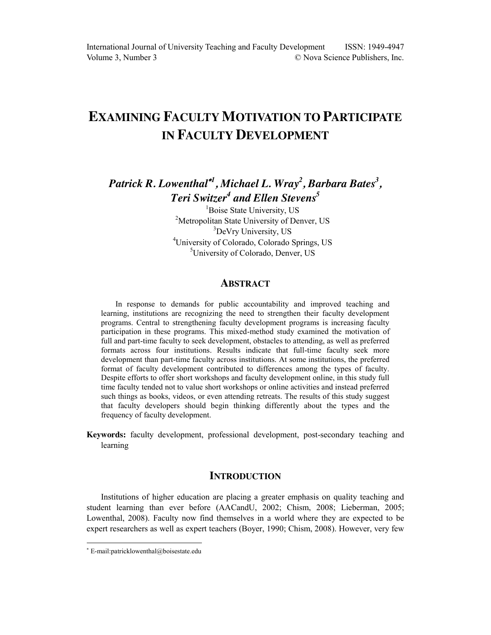# **EXAMINING FACULTY MOTIVATION TO PARTICIPATE IN FACULTY DEVELOPMENT**

*Patrick R. Lowenthal <sup>1</sup> , Michael L. Wray<sup>2</sup> , Barbara Bates<sup>3</sup> , Teri Switzer<sup>4</sup> and Ellen Stevens5*

> <sup>1</sup>Boise State University, US <sup>2</sup>Metropolitan State University of Denver, US <sup>3</sup>DeVry University, US 4 University of Colorado, Colorado Springs, US <sup>5</sup>University of Colorado, Denver, US

## **ABSTRACT**

In response to demands for public accountability and improved teaching and learning, institutions are recognizing the need to strengthen their faculty development programs. Central to strengthening faculty development programs is increasing faculty participation in these programs. This mixed-method study examined the motivation of full and part-time faculty to seek development, obstacles to attending, as well as preferred formats across four institutions. Results indicate that full-time faculty seek more development than part-time faculty across institutions. At some institutions, the preferred format of faculty development contributed to differences among the types of faculty. Despite efforts to offer short workshops and faculty development online, in this study full time faculty tended not to value short workshops or online activities and instead preferred such things as books, videos, or even attending retreats. The results of this study suggest that faculty developers should begin thinking differently about the types and the frequency of faculty development.

**Keywords:** faculty development, professional development, post-secondary teaching and learning

# **INTRODUCTION**

Institutions of higher education are placing a greater emphasis on quality teaching and student learning than ever before (AACandU, 2002; Chism, 2008; Lieberman, 2005; Lowenthal, 2008). Faculty now find themselves in a world where they are expected to be expert researchers as well as expert teachers (Boyer, 1990; Chism, 2008). However, very few

 $\overline{a}$ 

 E-mail:patricklowenthal@boisestate.edu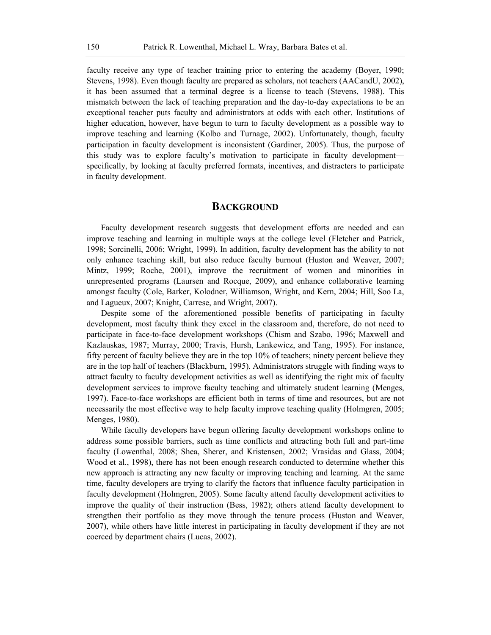faculty receive any type of teacher training prior to entering the academy (Boyer, 1990; Stevens, 1998). Even though faculty are prepared as scholars, not teachers (AACandU, 2002), it has been assumed that a terminal degree is a license to teach (Stevens, 1988). This mismatch between the lack of teaching preparation and the day-to-day expectations to be an exceptional teacher puts faculty and administrators at odds with each other. Institutions of higher education, however, have begun to turn to faculty development as a possible way to improve teaching and learning (Kolbo and Turnage, 2002). Unfortunately, though, faculty participation in faculty development is inconsistent (Gardiner, 2005). Thus, the purpose of this study was to explore faculty's motivation to participate in faculty development specifically, by looking at faculty preferred formats, incentives, and distracters to participate in faculty development.

#### **BACKGROUND**

Faculty development research suggests that development efforts are needed and can improve teaching and learning in multiple ways at the college level (Fletcher and Patrick, 1998; Sorcinelli, 2006; Wright, 1999). In addition, faculty development has the ability to not only enhance teaching skill, but also reduce faculty burnout (Huston and Weaver, 2007; Mintz, 1999; Roche, 2001), improve the recruitment of women and minorities in unrepresented programs (Laursen and Rocque, 2009), and enhance collaborative learning amongst faculty (Cole, Barker, Kolodner, Williamson, Wright, and Kern, 2004; Hill, Soo La, and Lagueux, 2007; Knight, Carrese, and Wright, 2007).

Despite some of the aforementioned possible benefits of participating in faculty development, most faculty think they excel in the classroom and, therefore, do not need to participate in face-to-face development workshops (Chism and Szabo, 1996; Maxwell and Kazlauskas, 1987; Murray, 2000; Travis, Hursh, Lankewicz, and Tang, 1995). For instance, fifty percent of faculty believe they are in the top 10% of teachers; ninety percent believe they are in the top half of teachers (Blackburn, 1995). Administrators struggle with finding ways to attract faculty to faculty development activities as well as identifying the right mix of faculty development services to improve faculty teaching and ultimately student learning (Menges, 1997). Face-to-face workshops are efficient both in terms of time and resources, but are not necessarily the most effective way to help faculty improve teaching quality (Holmgren, 2005; Menges, 1980).

While faculty developers have begun offering faculty development workshops online to address some possible barriers, such as time conflicts and attracting both full and part-time faculty (Lowenthal, 2008; Shea, Sherer, and Kristensen, 2002; Vrasidas and Glass, 2004; Wood et al., 1998), there has not been enough research conducted to determine whether this new approach is attracting any new faculty or improving teaching and learning. At the same time, faculty developers are trying to clarify the factors that influence faculty participation in faculty development (Holmgren, 2005). Some faculty attend faculty development activities to improve the quality of their instruction (Bess, 1982); others attend faculty development to strengthen their portfolio as they move through the tenure process (Huston and Weaver, 2007), while others have little interest in participating in faculty development if they are not coerced by department chairs (Lucas, 2002).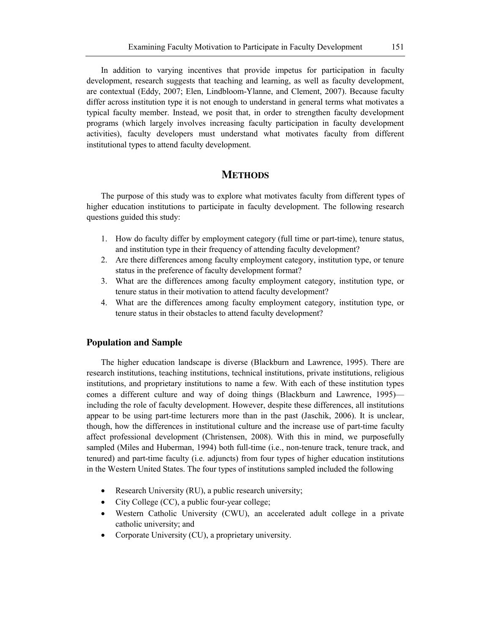In addition to varying incentives that provide impetus for participation in faculty development, research suggests that teaching and learning, as well as faculty development, are contextual (Eddy, 2007; Elen, Lindbloom-Ylanne, and Clement, 2007). Because faculty differ across institution type it is not enough to understand in general terms what motivates a typical faculty member. Instead, we posit that, in order to strengthen faculty development programs (which largely involves increasing faculty participation in faculty development activities), faculty developers must understand what motivates faculty from different institutional types to attend faculty development.

# **METHODS**

The purpose of this study was to explore what motivates faculty from different types of higher education institutions to participate in faculty development. The following research questions guided this study:

- 1. How do faculty differ by employment category (full time or part-time), tenure status, and institution type in their frequency of attending faculty development?
- 2. Are there differences among faculty employment category, institution type, or tenure status in the preference of faculty development format?
- 3. What are the differences among faculty employment category, institution type, or tenure status in their motivation to attend faculty development?
- 4. What are the differences among faculty employment category, institution type, or tenure status in their obstacles to attend faculty development?

#### **Population and Sample**

The higher education landscape is diverse (Blackburn and Lawrence, 1995). There are research institutions, teaching institutions, technical institutions, private institutions, religious institutions, and proprietary institutions to name a few. With each of these institution types comes a different culture and way of doing things (Blackburn and Lawrence, 1995) including the role of faculty development. However, despite these differences, all institutions appear to be using part-time lecturers more than in the past (Jaschik, 2006). It is unclear, though, how the differences in institutional culture and the increase use of part-time faculty affect professional development (Christensen, 2008). With this in mind, we purposefully sampled (Miles and Huberman, 1994) both full-time (i.e., non-tenure track, tenure track, and tenured) and part-time faculty (i.e. adjuncts) from four types of higher education institutions in the Western United States. The four types of institutions sampled included the following

- Exercise Research University (RU), a public research university;
- $\bullet$  City College (CC), a public four-year college;
- Western Catholic University (CWU), an accelerated adult college in a private catholic university; and
- Corporate University  $(CU)$ , a proprietary university.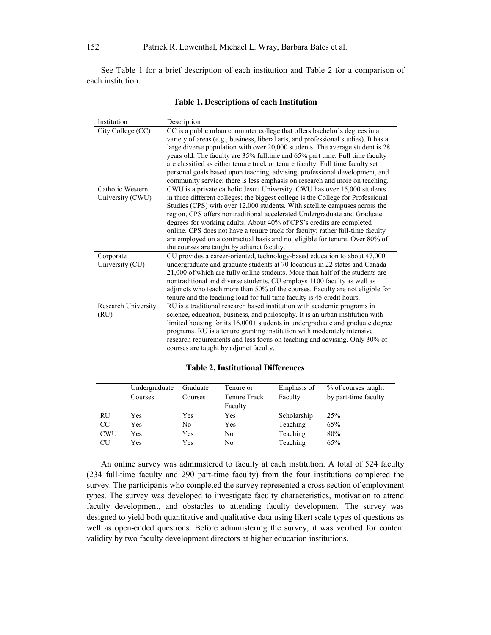See Table 1 for a brief description of each institution and Table 2 for a comparison of each institution.

| Institution         | Description                                                                         |
|---------------------|-------------------------------------------------------------------------------------|
| City College (CC)   | CC is a public urban commuter college that offers bachelor's degrees in a           |
|                     | variety of areas (e.g., business, liberal arts, and professional studies). It has a |
|                     | large diverse population with over 20,000 students. The average student is 28       |
|                     | years old. The faculty are 35% fulltime and 65% part time. Full time faculty        |
|                     | are classified as either tenure track or tenure faculty. Full time faculty set      |
|                     | personal goals based upon teaching, advising, professional development, and         |
|                     | community service; there is less emphasis on research and more on teaching.         |
| Catholic Western    | CWU is a private catholic Jesuit University. CWU has over 15,000 students           |
| University (CWU)    | in three different colleges; the biggest college is the College for Professional    |
|                     | Studies (CPS) with over 12,000 students. With satellite campuses across the         |
|                     | region, CPS offers nontraditional accelerated Undergraduate and Graduate            |
|                     | degrees for working adults. About 40% of CPS's credits are completed                |
|                     | online. CPS does not have a tenure track for faculty; rather full-time faculty      |
|                     | are employed on a contractual basis and not eligible for tenure. Over 80% of        |
|                     | the courses are taught by adjunct faculty.                                          |
| Corporate           | CU provides a career-oriented, technology-based education to about 47,000           |
| University (CU)     | undergraduate and graduate students at 70 locations in 22 states and Canada--       |
|                     | 21,000 of which are fully online students. More than half of the students are       |
|                     | nontraditional and diverse students. CU employs 1100 faculty as well as             |
|                     | adjuncts who teach more than 50% of the courses. Faculty are not eligible for       |
|                     | tenure and the teaching load for full time faculty is 45 credit hours.              |
| Research University | RU is a traditional research based institution with academic programs in            |
| (RU)                | science, education, business, and philosophy. It is an urban institution with       |
|                     | limited housing for its 16,000+ students in undergraduate and graduate degree       |
|                     | programs. RU is a tenure granting institution with moderately intensive             |
|                     | research requirements and less focus on teaching and advising. Only 30% of          |
|                     | courses are taught by adjunct faculty.                                              |

#### **Table 1. Descriptions of each Institution**

#### **Table 2. Institutional Differences**

|               | Undergraduate<br>Courses | Graduate<br>Courses | Tenure or<br>Tenure Track<br>Faculty | Emphasis of<br>Faculty | % of courses taught<br>by part-time faculty |
|---------------|--------------------------|---------------------|--------------------------------------|------------------------|---------------------------------------------|
| <b>RU</b>     | Yes                      | Yes                 | Yes                                  | Scholarship            | 25%                                         |
| <sub>CC</sub> | Yes                      | No                  | Yes                                  | Teaching               | 65%                                         |
| <b>CWU</b>    | Yes                      | Yes                 | No                                   | Teaching               | 80%                                         |
| CU            | Yes                      | Yes                 | No                                   | Teaching               | 65%                                         |

An online survey was administered to faculty at each institution. A total of 524 faculty (234 full-time faculty and 290 part-time faculty) from the four institutions completed the survey. The participants who completed the survey represented a cross section of employment types. The survey was developed to investigate faculty characteristics, motivation to attend faculty development, and obstacles to attending faculty development. The survey was designed to yield both quantitative and qualitative data using likert scale types of questions as well as open-ended questions. Before administering the survey, it was verified for content validity by two faculty development directors at higher education institutions.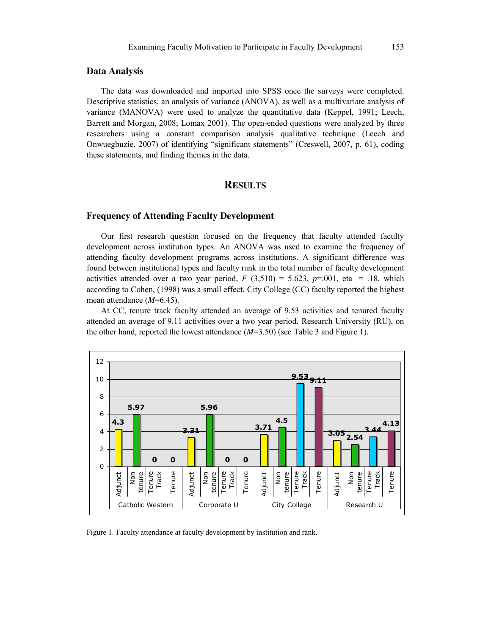#### **Data Analysis**

The data was downloaded and imported into SPSS once the surveys were completed. Descriptive statistics, an analysis of variance (ANOVA), as well as a multivariate analysis of variance (MANOVA) were used to analyze the quantitative data (Keppel, 1991; Leech, Barrett and Morgan, 2008; Lomax 2001). The open-ended questions were analyzed by three researchers using a constant comparison analysis qualitative technique (Leech and Onwuegbuzie, 2007) of identifying "significant statements" (Creswell, 2007, p. 61), coding these statements, and finding themes in the data.

### **RESULTS**

## **Frequency of Attending Faculty Development**

Our first research question focused on the frequency that faculty attended faculty development across institution types. An ANOVA was used to examine the frequency of attending faculty development programs across institutions. A significant difference was found between institutional types and faculty rank in the total number of faculty development activities attended over a two year period,  $F(3,510) = 5.623$ ,  $p=0.01$ , eta = .18, which according to Cohen, (1998) was a small effect. City College (CC) faculty reported the highest mean attendance (*M*=6.45).

At CC, tenure track faculty attended an average of 9.53 activities and tenured faculty attended an average of 9.11 activities over a two year period. Research University (RU), on the other hand, reported the lowest attendance (*M*=3.50) (see Table 3 and Figure 1).



Figure 1. Faculty attendance at faculty development by institution and rank.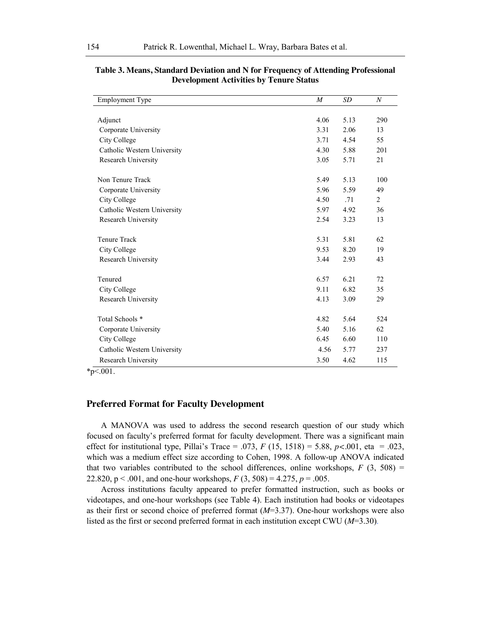| <b>Employment Type</b>      | $\boldsymbol{M}$ | <b>SD</b> | $\boldsymbol{N}$ |
|-----------------------------|------------------|-----------|------------------|
|                             |                  |           |                  |
| Adjunct                     | 4.06             | 5.13      | 290              |
| Corporate University        | 3.31             | 2.06      | 13               |
| City College                | 3.71             | 4.54      | 55               |
| Catholic Western University | 4.30             | 5.88      | 201              |
| Research University         | 3.05             | 5.71      | 21               |
| Non Tenure Track            | 5.49             | 5.13      | 100              |
| Corporate University        | 5.96             | 5.59      | 49               |
| City College                | 4.50             | .71       | $\overline{2}$   |
| Catholic Western University | 5.97             | 4.92      | 36               |
| Research University         | 2.54             | 3.23      | 13               |
| <b>Tenure Track</b>         | 5.31             | 5.81      | 62               |
| City College                | 9.53             | 8.20      | 19               |
| Research University         | 3.44             | 2.93      | 43               |
| Tenured                     | 6.57             | 6.21      | 72               |
| City College                | 9.11             | 6.82      | 35               |
| Research University         | 4.13             | 3.09      | 29               |
| Total Schools *             | 4.82             | 5.64      | 524              |
| Corporate University        | 5.40             | 5.16      | 62               |
| City College                | 6.45             | 6.60      | 110              |
| Catholic Western University | 4.56             | 5.77      | 237              |
| Research University         | 3.50             | 4.62      | 115              |

**Table 3. Means, Standard Deviation and N for Frequency of Attending Professional Development Activities by Tenure Status**

\*p<.001.

#### **Preferred Format for Faculty Development**

A MANOVA was used to address the second research question of our study which focused on faculty's preferred format for faculty development. There was a significant main effect for institutional type, Pillai's Trace = .073,  $F(15, 1518) = 5.88$ ,  $p < .001$ , eta = .023, which was a medium effect size according to Cohen, 1998. A follow-up ANOVA indicated that two variables contributed to the school differences, online workshops,  $F(3, 508) =$ 22.820, p < .001, and one-hour workshops, *F* (3, 508) = 4.275, *p* = .005.

Across institutions faculty appeared to prefer formatted instruction, such as books or videotapes, and one-hour workshops (see Table 4). Each institution had books or videotapes as their first or second choice of preferred format (*M*=3.37). One-hour workshops were also listed as the first or second preferred format in each institution except CWU (*M*=3.30).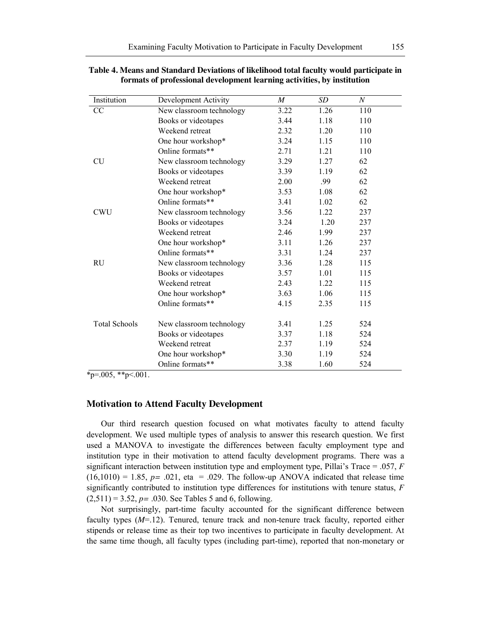| Institution          | Development Activity     | M    | <b>SD</b> | $\,N$ |
|----------------------|--------------------------|------|-----------|-------|
| CC                   | New classroom technology | 3.22 | 1.26      | 110   |
|                      | Books or videotapes      | 3.44 | 1.18      | 110   |
|                      | Weekend retreat          | 2.32 | 1.20      | 110   |
|                      | One hour workshop*       | 3.24 | 1.15      | 110   |
|                      | Online formats**         | 2.71 | 1.21      | 110   |
| <b>CU</b>            | New classroom technology | 3.29 | 1.27      | 62    |
|                      | Books or videotapes      | 3.39 | 1.19      | 62    |
|                      | Weekend retreat          | 2.00 | .99       | 62    |
|                      | One hour workshop*       | 3.53 | 1.08      | 62    |
|                      | Online formats**         | 3.41 | 1.02      | 62    |
| <b>CWU</b>           | New classroom technology | 3.56 | 1.22      | 237   |
|                      | Books or videotapes      | 3.24 | 1.20      | 237   |
|                      | Weekend retreat          | 2.46 | 1.99      | 237   |
|                      | One hour workshop*       | 3.11 | 1.26      | 237   |
|                      | Online formats**         | 3.31 | 1.24      | 237   |
| RU                   | New classroom technology | 3.36 | 1.28      | 115   |
|                      | Books or videotapes      | 3.57 | 1.01      | 115   |
|                      | Weekend retreat          | 2.43 | 1.22      | 115   |
|                      | One hour workshop*       | 3.63 | 1.06      | 115   |
|                      | Online formats**         | 4.15 | 2.35      | 115   |
|                      |                          |      |           |       |
| <b>Total Schools</b> | New classroom technology | 3.41 | 1.25      | 524   |
|                      | Books or videotapes      | 3.37 | 1.18      | 524   |
|                      | Weekend retreat          | 2.37 | 1.19      | 524   |
|                      | One hour workshop*       | 3.30 | 1.19      | 524   |
|                      | Online formats**         | 3.38 | 1.60      | 524   |

**Table 4. Means and Standard Deviations of likelihood total faculty would participate in formats of professional development learning activities, by institution**

 $*_{p=0.005, *p<.001.}$ 

## **Motivation to Attend Faculty Development**

Our third research question focused on what motivates faculty to attend faculty development. We used multiple types of analysis to answer this research question. We first used a MANOVA to investigate the differences between faculty employment type and institution type in their motivation to attend faculty development programs. There was a significant interaction between institution type and employment type, Pillai's Trace = .057, *F*   $(16,1010) = 1.85$ ,  $p = .021$ , eta = .029. The follow-up ANOVA indicated that release time significantly contributed to institution type differences for institutions with tenure status, *F*   $(2,511) = 3.52, p = .030$ . See Tables 5 and 6, following.

Not surprisingly, part-time faculty accounted for the significant difference between faculty types (*M*=.12). Tenured, tenure track and non-tenure track faculty, reported either stipends or release time as their top two incentives to participate in faculty development. At the same time though, all faculty types (including part-time), reported that non-monetary or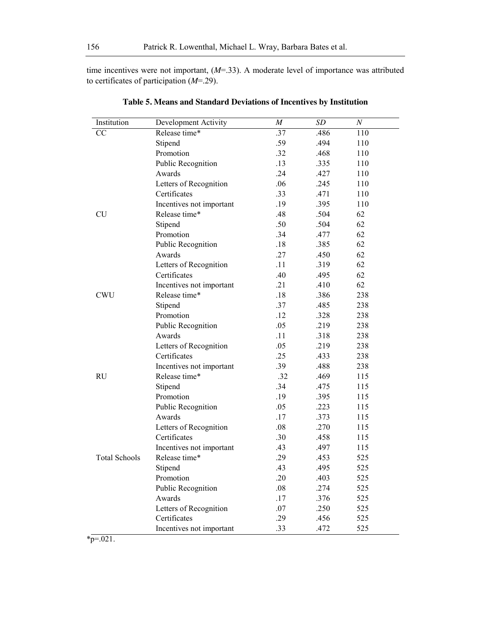time incentives were not important, (*M*=.33). A moderate level of importance was attributed to certificates of participation (*M*=.29).

| Institution          | Development Activity     | $\boldsymbol{M}$ | SD   | $\boldsymbol{N}$ |
|----------------------|--------------------------|------------------|------|------------------|
| $\overline{CC}$      | Release time*            | .37              | .486 | 110              |
|                      | Stipend                  | .59              | .494 | 110              |
|                      | Promotion                | .32              | .468 | 110              |
|                      | Public Recognition       | .13              | .335 | 110              |
|                      | Awards                   | .24              | .427 | 110              |
|                      | Letters of Recognition   | .06              | .245 | 110              |
|                      | Certificates             | .33              | .471 | 110              |
|                      | Incentives not important | .19              | .395 | 110              |
| CU                   | Release time*            | .48              | .504 | 62               |
|                      | Stipend                  | .50              | .504 | 62               |
|                      | Promotion                | .34              | .477 | 62               |
|                      | Public Recognition       | .18              | .385 | 62               |
|                      | Awards                   | .27              | .450 | 62               |
|                      | Letters of Recognition   | .11              | .319 | 62               |
|                      | Certificates             | .40              | .495 | 62               |
|                      | Incentives not important | .21              | .410 | 62               |
| <b>CWU</b>           | Release time*            | .18              | .386 | 238              |
|                      | Stipend                  | .37              | .485 | 238              |
|                      | Promotion                | .12              | .328 | 238              |
|                      | Public Recognition       | .05              | .219 | 238              |
|                      | Awards                   | .11              | .318 | 238              |
|                      | Letters of Recognition   | .05              | .219 | 238              |
|                      | Certificates             | .25              | .433 | 238              |
|                      | Incentives not important | .39              | .488 | 238              |
| <b>RU</b>            | Release time*            | .32              | .469 | 115              |
|                      | Stipend                  | .34              | .475 | 115              |
|                      | Promotion                | .19              | .395 | 115              |
|                      | Public Recognition       | .05              | .223 | 115              |
|                      | Awards                   | .17              | .373 | 115              |
|                      | Letters of Recognition   | .08              | .270 | 115              |
|                      | Certificates             | .30              | .458 | 115              |
|                      | Incentives not important | .43              | .497 | 115              |
| <b>Total Schools</b> | Release time*            | .29              | .453 | 525              |
|                      | Stipend                  | .43              | .495 | 525              |
|                      | Promotion                | .20              | .403 | 525              |
|                      | Public Recognition       | .08              | .274 | 525              |
|                      | Awards                   | .17              | .376 | 525              |
|                      | Letters of Recognition   | .07              | .250 | 525              |
|                      | Certificates             | .29              | .456 | 525              |
|                      | Incentives not important | .33              | .472 | 525              |

**Table 5. Means and Standard Deviations of Incentives by Institution**

 $*_{p=021}$ .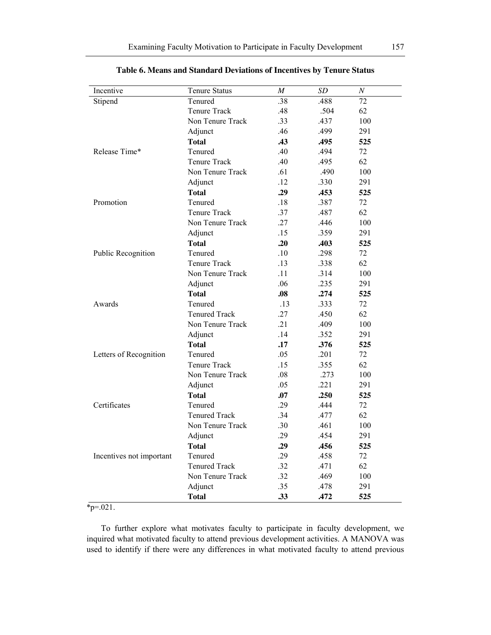| Incentive                 | <b>Tenure Status</b> | M   | SD   | $\boldsymbol{N}$ |
|---------------------------|----------------------|-----|------|------------------|
| Stipend                   | Tenured              | .38 | .488 | 72               |
|                           | Tenure Track         | .48 | .504 | 62               |
|                           | Non Tenure Track     | .33 | .437 | 100              |
|                           | Adjunct              | .46 | .499 | 291              |
|                           | <b>Total</b>         | .43 | .495 | 525              |
| Release Time*             | Tenured              | .40 | .494 | 72               |
|                           | Tenure Track         | .40 | .495 | 62               |
|                           | Non Tenure Track     | .61 | .490 | 100              |
|                           | Adjunct              | .12 | .330 | 291              |
|                           | <b>Total</b>         | .29 | .453 | 525              |
| Promotion                 | Tenured              | .18 | .387 | 72               |
|                           | Tenure Track         | .37 | .487 | 62               |
|                           | Non Tenure Track     | .27 | .446 | 100              |
|                           | Adjunct              | .15 | .359 | 291              |
|                           | <b>Total</b>         | .20 | .403 | 525              |
| <b>Public Recognition</b> | Tenured              | .10 | .298 | 72               |
|                           | Tenure Track         | .13 | .338 | 62               |
|                           | Non Tenure Track     | .11 | .314 | 100              |
|                           | Adjunct              | .06 | .235 | 291              |
|                           | <b>Total</b>         | .08 | .274 | 525              |
| Awards                    | Tenured              | .13 | .333 | 72               |
|                           | <b>Tenured Track</b> | .27 | .450 | 62               |
|                           | Non Tenure Track     | .21 | .409 | 100              |
|                           | Adjunct              | .14 | .352 | 291              |
|                           | <b>Total</b>         | .17 | .376 | 525              |
| Letters of Recognition    | Tenured              | .05 | .201 | 72               |
|                           | Tenure Track         | .15 | .355 | 62               |
|                           | Non Tenure Track     | .08 | .273 | 100              |
|                           | Adjunct              | .05 | .221 | 291              |
|                           | <b>Total</b>         | .07 | .250 | 525              |
| Certificates              | Tenured              | .29 | .444 | 72               |
|                           | <b>Tenured Track</b> | .34 | .477 | 62               |
|                           | Non Tenure Track     | .30 | .461 | 100              |
|                           | Adjunct              | .29 | .454 | 291              |
|                           | <b>Total</b>         | .29 | .456 | 525              |
| Incentives not important  | Tenured              | .29 | .458 | 72               |
|                           | <b>Tenured Track</b> | .32 | .471 | 62               |
|                           | Non Tenure Track     | .32 | .469 | 100              |
|                           | Adjunct              | .35 | .478 | 291              |
|                           | <b>Total</b>         | .33 | .472 | 525              |

| Table 6. Means and Standard Deviations of Incentives by Tenure Status |  |  |  |  |
|-----------------------------------------------------------------------|--|--|--|--|
|-----------------------------------------------------------------------|--|--|--|--|

 $*_{p=021}$ .

To further explore what motivates faculty to participate in faculty development, we inquired what motivated faculty to attend previous development activities. A MANOVA was used to identify if there were any differences in what motivated faculty to attend previous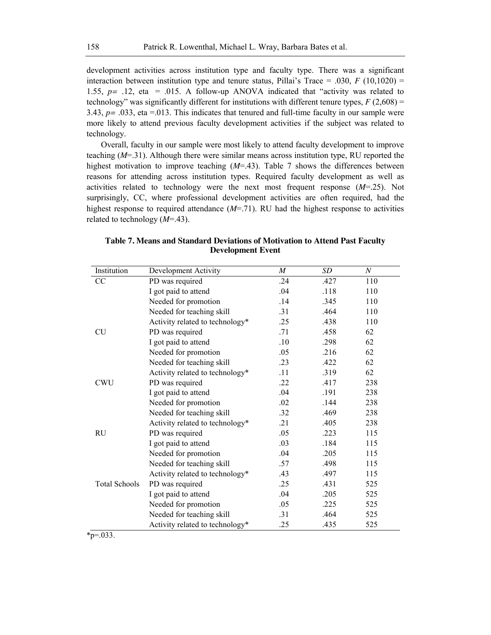development activities across institution type and faculty type. There was a significant interaction between institution type and tenure status, Pillai's Trace = .030,  $F(10,1020)$  = 1.55, *p=* .12, eta = .015. A follow-up ANOVA indicated that "activity was related to technology" was significantly different for institutions with different tenure types,  $F(2,608) =$ 3.43,  $p = .033$ , eta  $= .013$ . This indicates that tenured and full-time faculty in our sample were more likely to attend previous faculty development activities if the subject was related to technology.

Overall, faculty in our sample were most likely to attend faculty development to improve teaching (*M*=.31). Although there were similar means across institution type, RU reported the highest motivation to improve teaching (*M*=.43). Table 7 shows the differences between reasons for attending across institution types. Required faculty development as well as activities related to technology were the next most frequent response (*M*=.25). Not surprisingly, CC, where professional development activities are often required, had the highest response to required attendance (*M*=.71). RU had the highest response to activities related to technology (*M*=.43).

| Institution          | Development Activity            | $\boldsymbol{M}$ | <b>SD</b> | $\boldsymbol{N}$ |
|----------------------|---------------------------------|------------------|-----------|------------------|
| CC                   | PD was required                 | .24              | .427      | 110              |
|                      | I got paid to attend            | .04              | .118      | 110              |
|                      | Needed for promotion            | .14              | .345      | 110              |
|                      | Needed for teaching skill       | .31              | .464      | 110              |
|                      | Activity related to technology* | .25              | .438      | 110              |
| <b>CU</b>            | PD was required                 | .71              | .458      | 62               |
|                      | I got paid to attend            | .10              | .298      | 62               |
|                      | Needed for promotion            | .05              | .216      | 62               |
|                      | Needed for teaching skill       | .23              | .422      | 62               |
|                      | Activity related to technology* | .11              | .319      | 62               |
| <b>CWU</b>           | PD was required                 | .22              | .417      | 238              |
|                      | I got paid to attend            | .04              | .191      | 238              |
|                      | Needed for promotion            | .02              | .144      | 238              |
|                      | Needed for teaching skill       | .32              | .469      | 238              |
|                      | Activity related to technology* | .21              | .405      | 238              |
| <b>RU</b>            | PD was required                 | .05              | .223      | 115              |
|                      | I got paid to attend            | .03              | .184      | 115              |
|                      | Needed for promotion            | .04              | .205      | 115              |
|                      | Needed for teaching skill       | .57              | .498      | 115              |
|                      | Activity related to technology* | .43              | .497      | 115              |
| <b>Total Schools</b> | PD was required                 | .25              | .431      | 525              |
|                      | I got paid to attend            | .04              | .205      | 525              |
|                      | Needed for promotion            | .05              | .225      | 525              |
|                      | Needed for teaching skill       | .31              | .464      | 525              |
|                      | Activity related to technology* | .25              | .435      | 525              |

**Table 7. Means and Standard Deviations of Motivation to Attend Past Faculty Development Event**

 $*_{p=0.033}$ .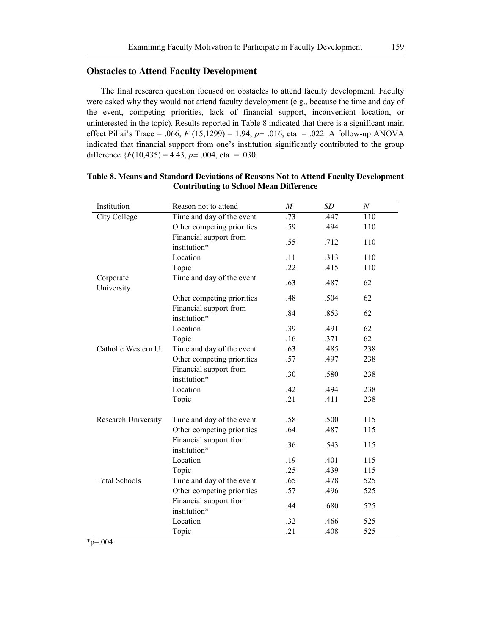## **Obstacles to Attend Faculty Development**

The final research question focused on obstacles to attend faculty development. Faculty were asked why they would not attend faculty development (e.g., because the time and day of the event, competing priorities, lack of financial support, inconvenient location, or uninterested in the topic). Results reported in Table 8 indicated that there is a significant main effect Pillai's Trace = .066, *F* (15,1299) = 1.94, *p=* .016, eta = .022. A follow-up ANOVA indicated that financial support from one's institution significantly contributed to the group difference  ${F(10,435) = 4.43, p = .004, \text{ eta } = .030.}$ 

| Institution             | Reason not to attend                   | $\overline{M}$ | <b>SD</b> | $\boldsymbol{N}$ |
|-------------------------|----------------------------------------|----------------|-----------|------------------|
| <b>City College</b>     | Time and day of the event              | .73            | .447      | 110              |
|                         | Other competing priorities             | .59            | .494      | 110              |
|                         | Financial support from<br>institution* | .55            | .712      | 110              |
|                         | Location                               | .11            | .313      | 110              |
|                         | Topic                                  | .22            | .415      | 110              |
| Corporate<br>University | Time and day of the event              | .63            | .487      | 62               |
|                         | Other competing priorities             | .48            | .504      | 62               |
|                         | Financial support from<br>institution* | .84            | .853      | 62               |
|                         | Location                               | .39            | .491      | 62               |
|                         | Topic                                  | .16            | .371      | 62               |
| Catholic Western U.     | Time and day of the event              | .63            | .485      | 238              |
|                         | Other competing priorities             | .57            | .497      | 238              |
|                         | Financial support from<br>institution* | .30            | .580      | 238              |
|                         | Location                               | .42            | .494      | 238              |
|                         | Topic                                  | .21            | .411      | 238              |
| Research University     | Time and day of the event              | .58            | .500      | 115              |
|                         | Other competing priorities             | .64            | .487      | 115              |
|                         | Financial support from<br>institution* | .36            | .543      | 115              |
|                         | Location                               | .19            | .401      | 115              |
|                         | Topic                                  | .25            | .439      | 115              |
| <b>Total Schools</b>    | Time and day of the event              | .65            | .478      | 525              |
|                         | Other competing priorities             | .57            | .496      | 525              |
|                         | Financial support from<br>institution* | .44            | .680      | 525              |
|                         | Location                               | .32            | .466      | 525              |
|                         | Topic                                  | .21            | .408      | 525              |

## **Table 8. Means and Standard Deviations of Reasons Not to Attend Faculty Development Contributing to School Mean Difference**

\*p=.004.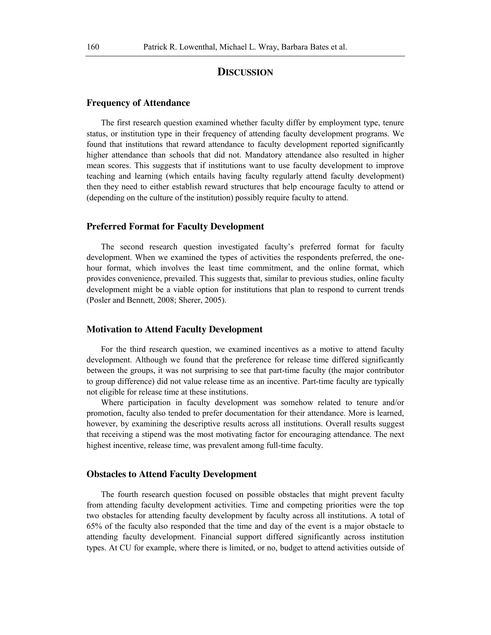## **DISCUSSION**

#### **Frequency of Attendance**

The first research question examined whether faculty differ by employment type, tenure status, or institution type in their frequency of attending faculty development programs. We found that institutions that reward attendance to faculty development reported significantly higher attendance than schools that did not. Mandatory attendance also resulted in higher mean scores. This suggests that if institutions want to use faculty development to improve teaching and learning (which entails having faculty regularly attend faculty development) then they need to either establish reward structures that help encourage faculty to attend or (depending on the culture of the institution) possibly require faculty to attend.

#### **Preferred Format for Faculty Development**

The second research question investigated faculty's preferred format for faculty development. When we examined the types of activities the respondents preferred, the onehour format, which involves the least time commitment, and the online format, which provides convenience, prevailed. This suggests that, similar to previous studies, online faculty development might be a viable option for institutions that plan to respond to current trends (Posler and Bennett, 2008; Sherer, 2005).

#### **Motivation to Attend Faculty Development**

For the third research question, we examined incentives as a motive to attend faculty development. Although we found that the preference for release time differed significantly between the groups, it was not surprising to see that part-time faculty (the major contributor to group difference) did not value release time as an incentive. Part-time faculty are typically not eligible for release time at these institutions.

Where participation in faculty development was somehow related to tenure and/or promotion, faculty also tended to prefer documentation for their attendance. More is learned, however, by examining the descriptive results across all institutions. Overall results suggest that receiving a stipend was the most motivating factor for encouraging attendance. The next highest incentive, release time, was prevalent among full-time faculty.

#### **Obstacles to Attend Faculty Development**

The fourth research question focused on possible obstacles that might prevent faculty from attending faculty development activities. Time and competing priorities were the top two obstacles for attending faculty development by faculty across all institutions. A total of 65% of the faculty also responded that the time and day of the event is a major obstacle to attending faculty development. Financial support differed significantly across institution types. At CU for example, where there is limited, or no, budget to attend activities outside of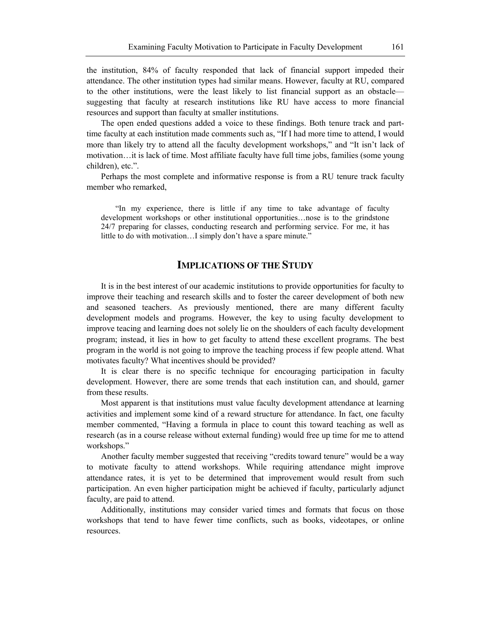the institution, 84% of faculty responded that lack of financial support impeded their attendance. The other institution types had similar means. However, faculty at RU, compared to the other institutions, were the least likely to list financial support as an obstacle suggesting that faculty at research institutions like RU have access to more financial resources and support than faculty at smaller institutions.

The open ended questions added a voice to these findings. Both tenure track and parttime faculty at each institution made comments such as, "If I had more time to attend, I would more than likely try to attend all the faculty development workshops," and "It isn't lack of motivation…it is lack of time. Most affiliate faculty have full time jobs, families (some young children), etc.".

Perhaps the most complete and informative response is from a RU tenure track faculty member who remarked,

"In my experience, there is little if any time to take advantage of faculty development workshops or other institutional opportunities…nose is to the grindstone 24/7 preparing for classes, conducting research and performing service. For me, it has little to do with motivation...I simply don't have a spare minute."

# **IMPLICATIONS OF THE STUDY**

It is in the best interest of our academic institutions to provide opportunities for faculty to improve their teaching and research skills and to foster the career development of both new and seasoned teachers. As previously mentioned, there are many different faculty development models and programs. However, the key to using faculty development to improve teacing and learning does not solely lie on the shoulders of each faculty development program; instead, it lies in how to get faculty to attend these excellent programs. The best program in the world is not going to improve the teaching process if few people attend. What motivates faculty? What incentives should be provided?

It is clear there is no specific technique for encouraging participation in faculty development. However, there are some trends that each institution can, and should, garner from these results.

Most apparent is that institutions must value faculty development attendance at learning activities and implement some kind of a reward structure for attendance. In fact, one faculty member commented, "Having a formula in place to count this toward teaching as well as research (as in a course release without external funding) would free up time for me to attend workshops."

Another faculty member suggested that receiving "credits toward tenure" would be a way to motivate faculty to attend workshops. While requiring attendance might improve attendance rates, it is yet to be determined that improvement would result from such participation. An even higher participation might be achieved if faculty, particularly adjunct faculty, are paid to attend.

Additionally, institutions may consider varied times and formats that focus on those workshops that tend to have fewer time conflicts, such as books, videotapes, or online resources.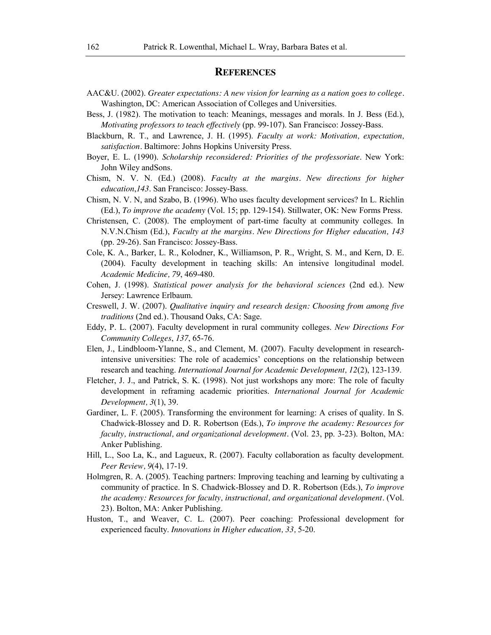## **REFERENCES**

- AAC&U. (2002). *Greater expectations: A new vision for learning as a nation goes to college.* Washington, DC: American Association of Colleges and Universities.
- Bess, J. (1982). The motivation to teach: Meanings, messages and morals. In J. Bess (Ed.), *Motivating professors to teach effectively* (pp. 99-107). San Francisco: Jossey-Bass.
- Blackburn, R. T., and Lawrence, J. H. (1995). *Faculty at work: Motivation, expectation, satisfaction.* Baltimore: Johns Hopkins University Press.
- Boyer, E. L. (1990). *Scholarship reconsidered: Priorities of the professoriate*. New York: John Wiley andSons.
- Chism, N. V. N. (Ed.) (2008). *Faculty at the margins. New directions for higher education*,*143*. San Francisco: Jossey-Bass.
- Chism, N. V. N, and Szabo, B. (1996). Who uses faculty development services? In L. Richlin (Ed.), *To improve the academy* (Vol. 15; pp. 129-154). Stillwater, OK: New Forms Press.
- Christensen, C. (2008). The employment of part-time faculty at community colleges. In N.V.N.Chism (Ed.), *Faculty at the margins. New Directions for Higher education, 143* (pp. 29-26)*.* San Francisco: Jossey-Bass.
- Cole, K. A., Barker, L. R., Kolodner, K., Williamson, P. R., Wright, S. M., and Kern, D. E. (2004). Faculty development in teaching skills: An intensive longitudinal model. *Academic Medicine, 79*, 469-480.
- Cohen, J. (1998). *Statistical power analysis for the behavioral sciences* (2nd ed.). New Jersey: Lawrence Erlbaum.
- Creswell, J. W. (2007). *Qualitative inquiry and research design: Choosing from among five traditions* (2nd ed.)*.* Thousand Oaks, CA: Sage.
- Eddy, P. L. (2007). Faculty development in rural community colleges. *New Directions For Community Colleges*, *137*, 65-76.
- Elen, J., Lindbloom-Ylanne, S., and Clement, M. (2007). Faculty development in researchintensive universities: The role of academics' conceptions on the relationship between research and teaching. *International Journal for Academic Development, 12*(2), 123-139.
- Fletcher, J. J., and Patrick, S. K. (1998). Not just workshops any more: The role of faculty development in reframing academic priorities. *International Journal for Academic Development, 3*(1), 39.
- Gardiner, L. F. (2005). Transforming the environment for learning: A crises of quality. In S. Chadwick-Blossey and D. R. Robertson (Eds.), *To improve the academy: Resources for faculty, instructional, and organizational development.* (Vol. 23, pp. 3-23). Bolton, MA: Anker Publishing.
- Hill, L., Soo La, K., and Lagueux, R. (2007). Faculty collaboration as faculty development. *Peer Review, 9*(4), 17-19.
- Holmgren, R. A. (2005). Teaching partners: Improving teaching and learning by cultivating a community of practice. In S. Chadwick-Blossey and D. R. Robertson (Eds.), *To improve the academy: Resources for faculty, instructional, and organizational development.* (Vol. 23). Bolton, MA: Anker Publishing.
- Huston, T., and Weaver, C. L. (2007). Peer coaching: Professional development for experienced faculty. *Innovations in Higher education, 33,* 5-20.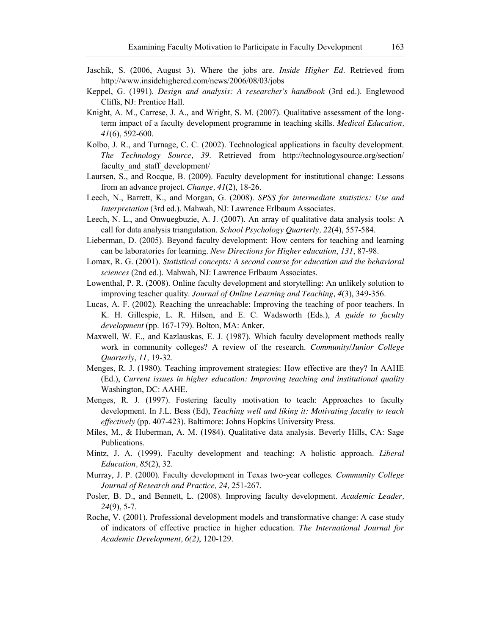- Jaschik, S. (2006, August 3). Where the jobs are. *Inside Higher Ed*. Retrieved from http://www.insidehighered.com/news/2006/08/03/jobs
- Keppel, G. (1991). *Design and analysis: A researcher's handbook* (3rd ed.). Englewood Cliffs, NJ: Prentice Hall.
- Knight, A. M., Carrese, J. A., and Wright, S. M. (2007). Qualitative assessment of the longterm impact of a faculty development programme in teaching skills. *Medical Education, 41*(6), 592-600.
- Kolbo, J. R., and Turnage, C. C. (2002). Technological applications in faculty development. *The Technology Source, 39*. Retrieved from http://technologysource.org/section/ faculty and staff development/
- Laursen, S., and Rocque, B. (2009). Faculty development for institutional change: Lessons from an advance project. *Change, 41*(2), 18-26.
- Leech, N., Barrett, K., and Morgan, G. (2008). *SPSS for intermediate statistics: Use and Interpretation* (3rd ed.). Mahwah, NJ: Lawrence Erlbaum Associates.
- Leech, N. L., and Onwuegbuzie, A. J. (2007). An array of qualitative data analysis tools: A call for data analysis triangulation. *School Psychology Quarterly, 22*(4), 557-584.
- Lieberman, D. (2005). Beyond faculty development: How centers for teaching and learning can be laboratories for learning. *New Directions for Higher education*, *131*, 87-98.
- Lomax, R. G. (2001). *Statistical concepts: A second course for education and the behavioral sciences* (2nd ed.). Mahwah, NJ: Lawrence Erlbaum Associates.
- Lowenthal, P. R. (2008). Online faculty development and storytelling: An unlikely solution to improving teacher quality. *Journal of Online Learning and Teaching, 4*(3), 349-356.
- Lucas, A. F. (2002). Reaching the unreachable: Improving the teaching of poor teachers. In K. H. Gillespie, L. R. Hilsen, and E. C. Wadsworth (Eds.), *A guide to faculty development* (pp. 167-179). Bolton, MA: Anker.
- Maxwell, W. E., and Kazlauskas, E. J. (1987). Which faculty development methods really work in community colleges? A review of the research. *Community/Junior College Quarterly*, *11,* 19-32.
- Menges, R. J. (1980). Teaching improvement strategies: How effective are they? In AAHE (Ed.), *Current issues in higher education: Improving teaching and institutional quality* Washington, DC: AAHE.
- Menges, R. J. (1997). Fostering faculty motivation to teach: Approaches to faculty development. In J.L. Bess (Ed), *Teaching well and liking it: Motivating faculty to teach effectively* (pp. 407-423). Baltimore: Johns Hopkins University Press.
- Miles, M., & Huberman, A. M. (1984). Qualitative data analysis. Beverly Hills, CA: Sage Publications.
- Mintz, J. A. (1999). Faculty development and teaching: A holistic approach. *Liberal Education, 85*(2), 32.
- Murray, J. P. (2000). Faculty development in Texas two-year colleges. *Community College Journal of Research and Practice, 24*, 251-267.
- Posler, B. D., and Bennett, L. (2008). Improving faculty development. *Academic Leader, 24*(9), 5-7.
- Roche, V. (2001). Professional development models and transformative change: A case study of indicators of effective practice in higher education. *The International Journal for Academic Development, 6(2)*, 120-129.